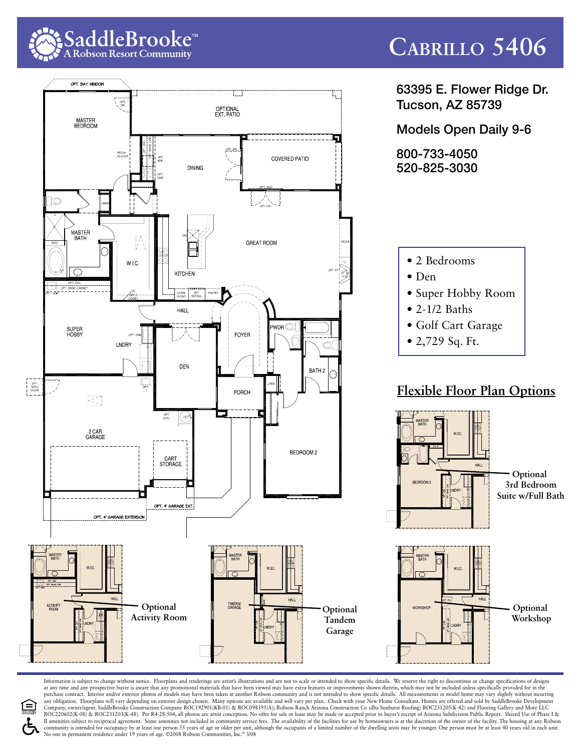

## **Cabrillo 5406**



Information is subject to change without notice. Floorplans and renderings are artist's illustrations and are not to scale or intended to show specific details. We reserve the right to discontinue or change specifications at any time and any prospective buyer is aware that any promotional materials that have been viewed may have extra features or improvements shown therein, which may not be included unless specifically provided for in the<br>p any obligation. Floorplans will vary depending on exterior design chosen. Many options are available and will vary per plan. Check with your New Home Consultant. Homes are offered and sold by SaddleBrooke Development Company, owner/agent. SaddleBrooke Construction Company ROC192901(KB-01) & ROC098395(A); Robson Ranch Arizona Construction Co (dba Sunburst Roofing) ROC231205(K-42) and Flooring Gallery and More LLC<br>ROC220602(K-08) & ROC23 II amenities subject to reciprocal agreement. Some amenities not included in community service fees. The availability of the facilities for use by homeowners is at the discretion of the owner of the facility. The housing a community is intended for occupancy by at least one person 55 years of age or older per unit, although the occupants of a limited number of the dwelling units may be younger. One person must be at least 40 years old in eac